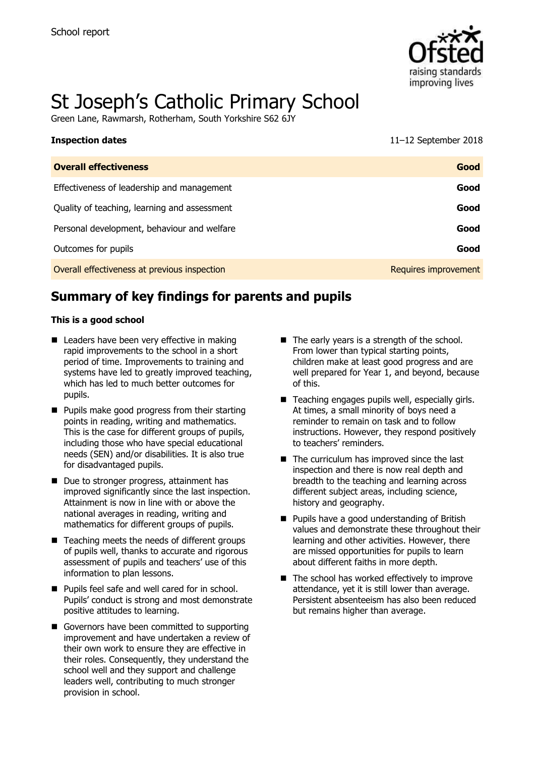

# St Joseph's Catholic Primary School

Green Lane, Rawmarsh, Rotherham, South Yorkshire S62 6JY

| <b>Inspection dates</b>                      | 11-12 September 2018 |
|----------------------------------------------|----------------------|
| <b>Overall effectiveness</b>                 | Good                 |
| Effectiveness of leadership and management   | Good                 |
| Quality of teaching, learning and assessment | Good                 |
| Personal development, behaviour and welfare  | Good                 |
| Outcomes for pupils                          | Good                 |
| Overall effectiveness at previous inspection | Requires improvement |

# **Summary of key findings for parents and pupils**

#### **This is a good school**

- Leaders have been very effective in making rapid improvements to the school in a short period of time. Improvements to training and systems have led to greatly improved teaching, which has led to much better outcomes for pupils.
- $\blacksquare$  Pupils make good progress from their starting points in reading, writing and mathematics. This is the case for different groups of pupils, including those who have special educational needs (SEN) and/or disabilities. It is also true for disadvantaged pupils.
- Due to stronger progress, attainment has improved significantly since the last inspection. Attainment is now in line with or above the national averages in reading, writing and mathematics for different groups of pupils.
- $\blacksquare$  Teaching meets the needs of different groups of pupils well, thanks to accurate and rigorous assessment of pupils and teachers' use of this information to plan lessons.
- **Pupils feel safe and well cared for in school.** Pupils' conduct is strong and most demonstrate positive attitudes to learning.
- Governors have been committed to supporting improvement and have undertaken a review of their own work to ensure they are effective in their roles. Consequently, they understand the school well and they support and challenge leaders well, contributing to much stronger provision in school.
- $\blacksquare$  The early years is a strength of the school. From lower than typical starting points, children make at least good progress and are well prepared for Year 1, and beyond, because of this.
- Teaching engages pupils well, especially girls. At times, a small minority of boys need a reminder to remain on task and to follow instructions. However, they respond positively to teachers' reminders.
- $\blacksquare$  The curriculum has improved since the last inspection and there is now real depth and breadth to the teaching and learning across different subject areas, including science, history and geography.
- **Pupils have a good understanding of British** values and demonstrate these throughout their learning and other activities. However, there are missed opportunities for pupils to learn about different faiths in more depth.
- $\blacksquare$  The school has worked effectively to improve attendance, yet it is still lower than average. Persistent absenteeism has also been reduced but remains higher than average.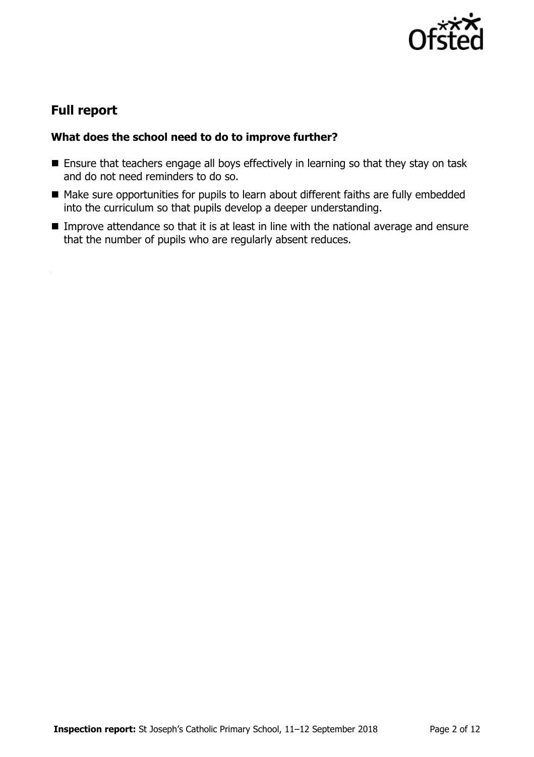

# **Full report**

### **What does the school need to do to improve further?**

- **Ensure that teachers engage all boys effectively in learning so that they stay on task** and do not need reminders to do so.
- Make sure opportunities for pupils to learn about different faiths are fully embedded into the curriculum so that pupils develop a deeper understanding.
- **IMPROVE Attendance so that it is at least in line with the national average and ensure** that the number of pupils who are regularly absent reduces.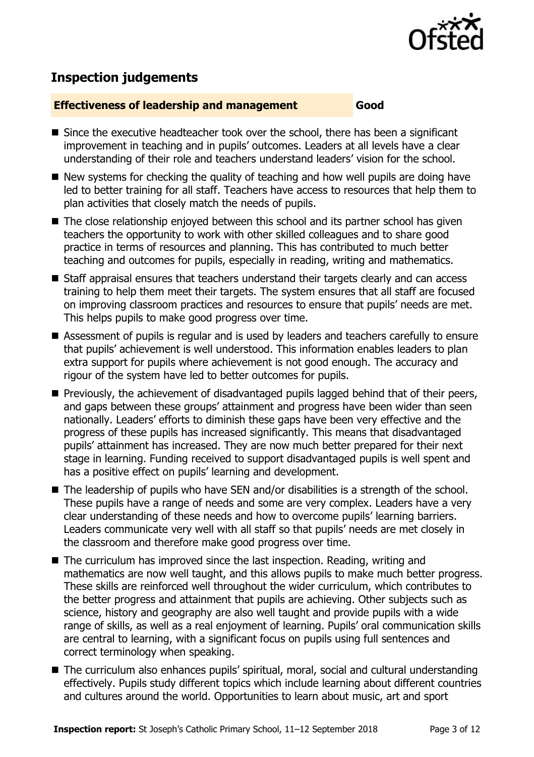

# **Inspection judgements**

#### **Effectiveness of leadership and management Good**

- Since the executive headteacher took over the school, there has been a significant improvement in teaching and in pupils' outcomes. Leaders at all levels have a clear understanding of their role and teachers understand leaders' vision for the school.
- New systems for checking the quality of teaching and how well pupils are doing have led to better training for all staff. Teachers have access to resources that help them to plan activities that closely match the needs of pupils.
- The close relationship enjoyed between this school and its partner school has given teachers the opportunity to work with other skilled colleagues and to share good practice in terms of resources and planning. This has contributed to much better teaching and outcomes for pupils, especially in reading, writing and mathematics.
- Staff appraisal ensures that teachers understand their targets clearly and can access training to help them meet their targets. The system ensures that all staff are focused on improving classroom practices and resources to ensure that pupils' needs are met. This helps pupils to make good progress over time.
- Assessment of pupils is regular and is used by leaders and teachers carefully to ensure that pupils' achievement is well understood. This information enables leaders to plan extra support for pupils where achievement is not good enough. The accuracy and rigour of the system have led to better outcomes for pupils.
- **Previously, the achievement of disadvantaged pupils lagged behind that of their peers,** and gaps between these groups' attainment and progress have been wider than seen nationally. Leaders' efforts to diminish these gaps have been very effective and the progress of these pupils has increased significantly. This means that disadvantaged pupils' attainment has increased. They are now much better prepared for their next stage in learning. Funding received to support disadvantaged pupils is well spent and has a positive effect on pupils' learning and development.
- The leadership of pupils who have SEN and/or disabilities is a strength of the school. These pupils have a range of needs and some are very complex. Leaders have a very clear understanding of these needs and how to overcome pupils' learning barriers. Leaders communicate very well with all staff so that pupils' needs are met closely in the classroom and therefore make good progress over time.
- The curriculum has improved since the last inspection. Reading, writing and mathematics are now well taught, and this allows pupils to make much better progress. These skills are reinforced well throughout the wider curriculum, which contributes to the better progress and attainment that pupils are achieving. Other subjects such as science, history and geography are also well taught and provide pupils with a wide range of skills, as well as a real enjoyment of learning. Pupils' oral communication skills are central to learning, with a significant focus on pupils using full sentences and correct terminology when speaking.
- The curriculum also enhances pupils' spiritual, moral, social and cultural understanding effectively. Pupils study different topics which include learning about different countries and cultures around the world. Opportunities to learn about music, art and sport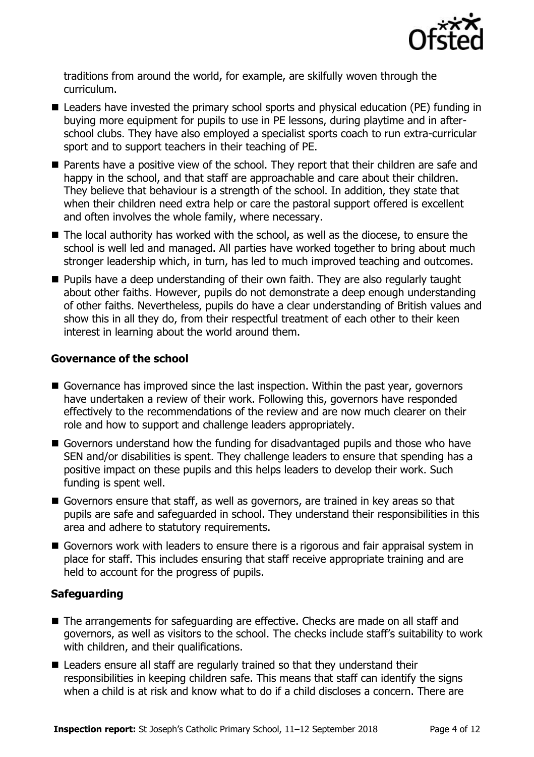

traditions from around the world, for example, are skilfully woven through the curriculum.

- Leaders have invested the primary school sports and physical education (PE) funding in buying more equipment for pupils to use in PE lessons, during playtime and in afterschool clubs. They have also employed a specialist sports coach to run extra-curricular sport and to support teachers in their teaching of PE.
- **Parents have a positive view of the school. They report that their children are safe and Proper** happy in the school, and that staff are approachable and care about their children. They believe that behaviour is a strength of the school. In addition, they state that when their children need extra help or care the pastoral support offered is excellent and often involves the whole family, where necessary.
- The local authority has worked with the school, as well as the diocese, to ensure the school is well led and managed. All parties have worked together to bring about much stronger leadership which, in turn, has led to much improved teaching and outcomes.
- **Pupils have a deep understanding of their own faith. They are also regularly taught** about other faiths. However, pupils do not demonstrate a deep enough understanding of other faiths. Nevertheless, pupils do have a clear understanding of British values and show this in all they do, from their respectful treatment of each other to their keen interest in learning about the world around them.

#### **Governance of the school**

- Governance has improved since the last inspection. Within the past year, governors have undertaken a review of their work. Following this, governors have responded effectively to the recommendations of the review and are now much clearer on their role and how to support and challenge leaders appropriately.
- Governors understand how the funding for disadvantaged pupils and those who have SEN and/or disabilities is spent. They challenge leaders to ensure that spending has a positive impact on these pupils and this helps leaders to develop their work. Such funding is spent well.
- Governors ensure that staff, as well as governors, are trained in key areas so that pupils are safe and safeguarded in school. They understand their responsibilities in this area and adhere to statutory requirements.
- Governors work with leaders to ensure there is a rigorous and fair appraisal system in place for staff. This includes ensuring that staff receive appropriate training and are held to account for the progress of pupils.

#### **Safeguarding**

- The arrangements for safeguarding are effective. Checks are made on all staff and governors, as well as visitors to the school. The checks include staff's suitability to work with children, and their qualifications.
- Leaders ensure all staff are regularly trained so that they understand their responsibilities in keeping children safe. This means that staff can identify the signs when a child is at risk and know what to do if a child discloses a concern. There are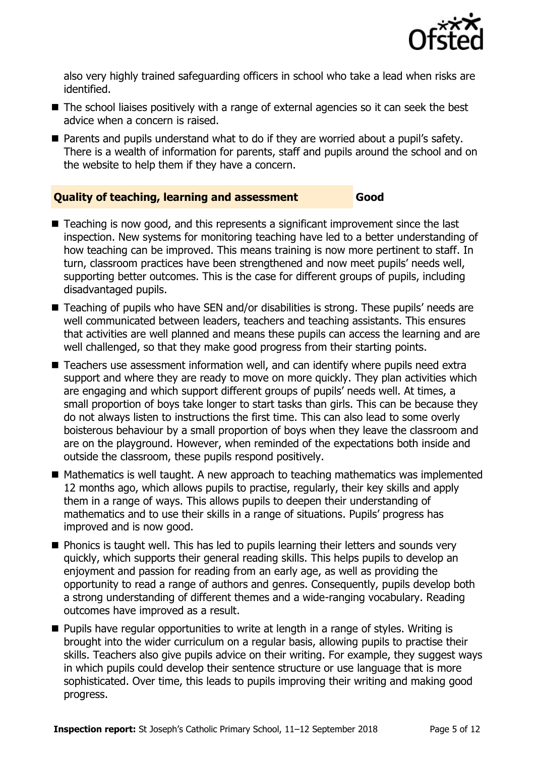

also very highly trained safeguarding officers in school who take a lead when risks are identified.

- The school liaises positively with a range of external agencies so it can seek the best advice when a concern is raised.
- Parents and pupils understand what to do if they are worried about a pupil's safety. There is a wealth of information for parents, staff and pupils around the school and on the website to help them if they have a concern.

### **Quality of teaching, learning and assessment Good**

- Teaching is now good, and this represents a significant improvement since the last inspection. New systems for monitoring teaching have led to a better understanding of how teaching can be improved. This means training is now more pertinent to staff. In turn, classroom practices have been strengthened and now meet pupils' needs well, supporting better outcomes. This is the case for different groups of pupils, including disadvantaged pupils.
- Teaching of pupils who have SEN and/or disabilities is strong. These pupils' needs are well communicated between leaders, teachers and teaching assistants. This ensures that activities are well planned and means these pupils can access the learning and are well challenged, so that they make good progress from their starting points.
- Teachers use assessment information well, and can identify where pupils need extra support and where they are ready to move on more quickly. They plan activities which are engaging and which support different groups of pupils' needs well. At times, a small proportion of boys take longer to start tasks than girls. This can be because they do not always listen to instructions the first time. This can also lead to some overly boisterous behaviour by a small proportion of boys when they leave the classroom and are on the playground. However, when reminded of the expectations both inside and outside the classroom, these pupils respond positively.
- Mathematics is well taught. A new approach to teaching mathematics was implemented 12 months ago, which allows pupils to practise, regularly, their key skills and apply them in a range of ways. This allows pupils to deepen their understanding of mathematics and to use their skills in a range of situations. Pupils' progress has improved and is now good.
- **Phonics is taught well. This has led to pupils learning their letters and sounds very** quickly, which supports their general reading skills. This helps pupils to develop an enjoyment and passion for reading from an early age, as well as providing the opportunity to read a range of authors and genres. Consequently, pupils develop both a strong understanding of different themes and a wide-ranging vocabulary. Reading outcomes have improved as a result.
- **Pupils have regular opportunities to write at length in a range of styles. Writing is** brought into the wider curriculum on a regular basis, allowing pupils to practise their skills. Teachers also give pupils advice on their writing. For example, they suggest ways in which pupils could develop their sentence structure or use language that is more sophisticated. Over time, this leads to pupils improving their writing and making good progress.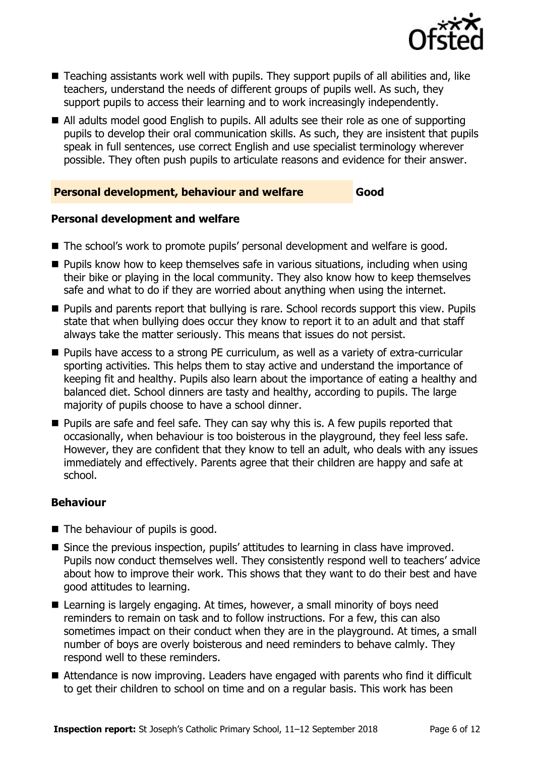

- Teaching assistants work well with pupils. They support pupils of all abilities and, like teachers, understand the needs of different groups of pupils well. As such, they support pupils to access their learning and to work increasingly independently.
- All adults model good English to pupils. All adults see their role as one of supporting pupils to develop their oral communication skills. As such, they are insistent that pupils speak in full sentences, use correct English and use specialist terminology wherever possible. They often push pupils to articulate reasons and evidence for their answer.

#### **Personal development, behaviour and welfare Good**

#### **Personal development and welfare**

- The school's work to promote pupils' personal development and welfare is good.
- **Pupils know how to keep themselves safe in various situations, including when using** their bike or playing in the local community. They also know how to keep themselves safe and what to do if they are worried about anything when using the internet.
- **Pupils and parents report that bullying is rare. School records support this view. Pupils** state that when bullying does occur they know to report it to an adult and that staff always take the matter seriously. This means that issues do not persist.
- Pupils have access to a strong PE curriculum, as well as a variety of extra-curricular sporting activities. This helps them to stay active and understand the importance of keeping fit and healthy. Pupils also learn about the importance of eating a healthy and balanced diet. School dinners are tasty and healthy, according to pupils. The large majority of pupils choose to have a school dinner.
- **Pupils are safe and feel safe. They can say why this is. A few pupils reported that** occasionally, when behaviour is too boisterous in the playground, they feel less safe. However, they are confident that they know to tell an adult, who deals with any issues immediately and effectively. Parents agree that their children are happy and safe at school.

#### **Behaviour**

- The behaviour of pupils is good.
- Since the previous inspection, pupils' attitudes to learning in class have improved. Pupils now conduct themselves well. They consistently respond well to teachers' advice about how to improve their work. This shows that they want to do their best and have good attitudes to learning.
- Learning is largely engaging. At times, however, a small minority of boys need reminders to remain on task and to follow instructions. For a few, this can also sometimes impact on their conduct when they are in the playground. At times, a small number of boys are overly boisterous and need reminders to behave calmly. They respond well to these reminders.
- Attendance is now improving. Leaders have engaged with parents who find it difficult to get their children to school on time and on a regular basis. This work has been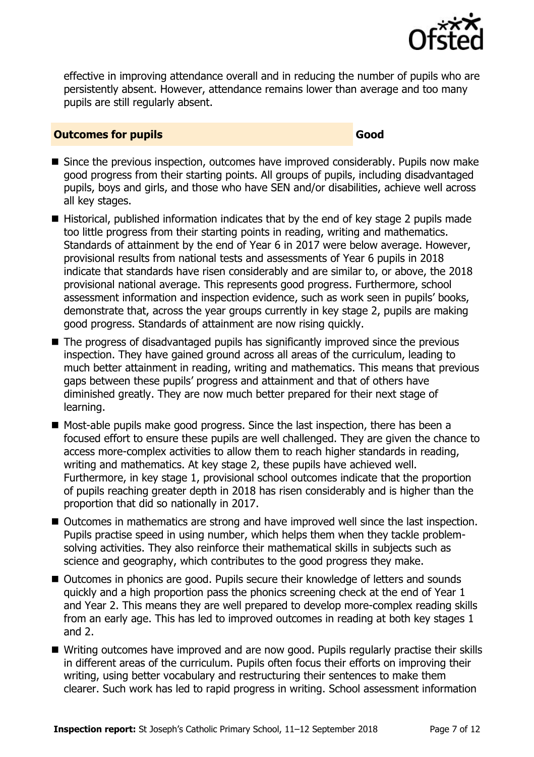

effective in improving attendance overall and in reducing the number of pupils who are persistently absent. However, attendance remains lower than average and too many pupils are still regularly absent.

#### **Outcomes for pupils Good**

- Since the previous inspection, outcomes have improved considerably. Pupils now make good progress from their starting points. All groups of pupils, including disadvantaged pupils, boys and girls, and those who have SEN and/or disabilities, achieve well across all key stages.
- $\blacksquare$  Historical, published information indicates that by the end of key stage 2 pupils made too little progress from their starting points in reading, writing and mathematics. Standards of attainment by the end of Year 6 in 2017 were below average. However, provisional results from national tests and assessments of Year 6 pupils in 2018 indicate that standards have risen considerably and are similar to, or above, the 2018 provisional national average. This represents good progress. Furthermore, school assessment information and inspection evidence, such as work seen in pupils' books, demonstrate that, across the year groups currently in key stage 2, pupils are making good progress. Standards of attainment are now rising quickly.
- The progress of disadvantaged pupils has significantly improved since the previous inspection. They have gained ground across all areas of the curriculum, leading to much better attainment in reading, writing and mathematics. This means that previous gaps between these pupils' progress and attainment and that of others have diminished greatly. They are now much better prepared for their next stage of learning.
- Most-able pupils make good progress. Since the last inspection, there has been a focused effort to ensure these pupils are well challenged. They are given the chance to access more-complex activities to allow them to reach higher standards in reading, writing and mathematics. At key stage 2, these pupils have achieved well. Furthermore, in key stage 1, provisional school outcomes indicate that the proportion of pupils reaching greater depth in 2018 has risen considerably and is higher than the proportion that did so nationally in 2017.
- Outcomes in mathematics are strong and have improved well since the last inspection. Pupils practise speed in using number, which helps them when they tackle problemsolving activities. They also reinforce their mathematical skills in subjects such as science and geography, which contributes to the good progress they make.
- Outcomes in phonics are good. Pupils secure their knowledge of letters and sounds quickly and a high proportion pass the phonics screening check at the end of Year 1 and Year 2. This means they are well prepared to develop more-complex reading skills from an early age. This has led to improved outcomes in reading at both key stages 1 and 2.
- Writing outcomes have improved and are now good. Pupils regularly practise their skills in different areas of the curriculum. Pupils often focus their efforts on improving their writing, using better vocabulary and restructuring their sentences to make them clearer. Such work has led to rapid progress in writing. School assessment information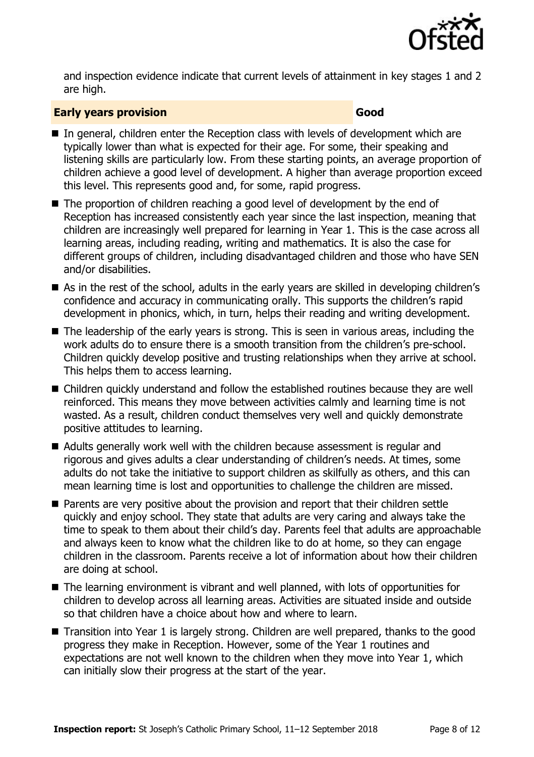

and inspection evidence indicate that current levels of attainment in key stages 1 and 2 are high.

#### **Early years provision Good Good**

- In general, children enter the Reception class with levels of development which are typically lower than what is expected for their age. For some, their speaking and listening skills are particularly low. From these starting points, an average proportion of children achieve a good level of development. A higher than average proportion exceed this level. This represents good and, for some, rapid progress.
- The proportion of children reaching a good level of development by the end of Reception has increased consistently each year since the last inspection, meaning that children are increasingly well prepared for learning in Year 1. This is the case across all learning areas, including reading, writing and mathematics. It is also the case for different groups of children, including disadvantaged children and those who have SEN and/or disabilities.
- As in the rest of the school, adults in the early years are skilled in developing children's confidence and accuracy in communicating orally. This supports the children's rapid development in phonics, which, in turn, helps their reading and writing development.
- The leadership of the early years is strong. This is seen in various areas, including the work adults do to ensure there is a smooth transition from the children's pre-school. Children quickly develop positive and trusting relationships when they arrive at school. This helps them to access learning.
- Children quickly understand and follow the established routines because they are well reinforced. This means they move between activities calmly and learning time is not wasted. As a result, children conduct themselves very well and quickly demonstrate positive attitudes to learning.
- Adults generally work well with the children because assessment is regular and rigorous and gives adults a clear understanding of children's needs. At times, some adults do not take the initiative to support children as skilfully as others, and this can mean learning time is lost and opportunities to challenge the children are missed.
- Parents are very positive about the provision and report that their children settle quickly and enjoy school. They state that adults are very caring and always take the time to speak to them about their child's day. Parents feel that adults are approachable and always keen to know what the children like to do at home, so they can engage children in the classroom. Parents receive a lot of information about how their children are doing at school.
- The learning environment is vibrant and well planned, with lots of opportunities for children to develop across all learning areas. Activities are situated inside and outside so that children have a choice about how and where to learn.
- Transition into Year 1 is largely strong. Children are well prepared, thanks to the good progress they make in Reception. However, some of the Year 1 routines and expectations are not well known to the children when they move into Year 1, which can initially slow their progress at the start of the year.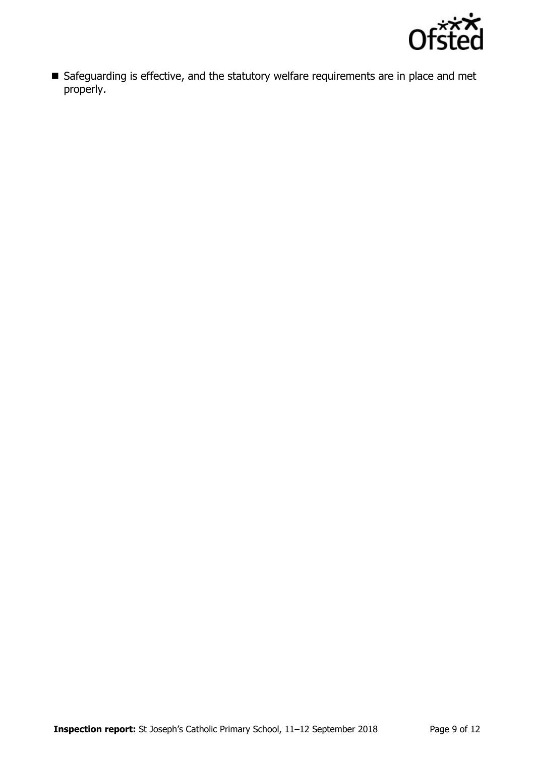

 Safeguarding is effective, and the statutory welfare requirements are in place and met properly.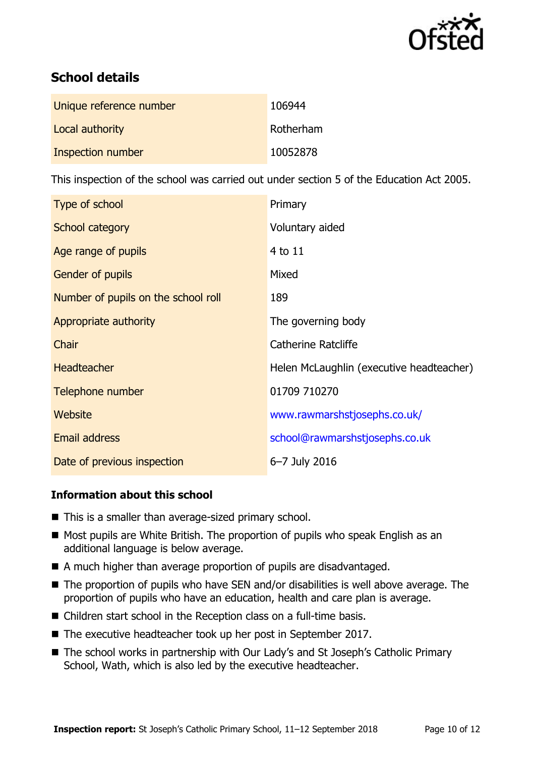

# **School details**

| Unique reference number | 106944    |
|-------------------------|-----------|
| Local authority         | Rotherham |
| Inspection number       | 10052878  |

This inspection of the school was carried out under section 5 of the Education Act 2005.

| Type of school                      | Primary                                  |
|-------------------------------------|------------------------------------------|
| School category                     | Voluntary aided                          |
| Age range of pupils                 | 4 to 11                                  |
| Gender of pupils                    | Mixed                                    |
| Number of pupils on the school roll | 189                                      |
| Appropriate authority               | The governing body                       |
| Chair                               | Catherine Ratcliffe                      |
| <b>Headteacher</b>                  | Helen McLaughlin (executive headteacher) |
| Telephone number                    | 01709 710270                             |
| <b>Website</b>                      | www.rawmarshstjosephs.co.uk/             |
| <b>Email address</b>                | school@rawmarshstjosephs.co.uk           |
| Date of previous inspection         | 6-7 July 2016                            |

### **Information about this school**

- This is a smaller than average-sized primary school.
- Most pupils are White British. The proportion of pupils who speak English as an additional language is below average.
- A much higher than average proportion of pupils are disadvantaged.
- The proportion of pupils who have SEN and/or disabilities is well above average. The proportion of pupils who have an education, health and care plan is average.
- Children start school in the Reception class on a full-time basis.
- The executive headteacher took up her post in September 2017.
- The school works in partnership with Our Lady's and St Joseph's Catholic Primary School, Wath, which is also led by the executive headteacher.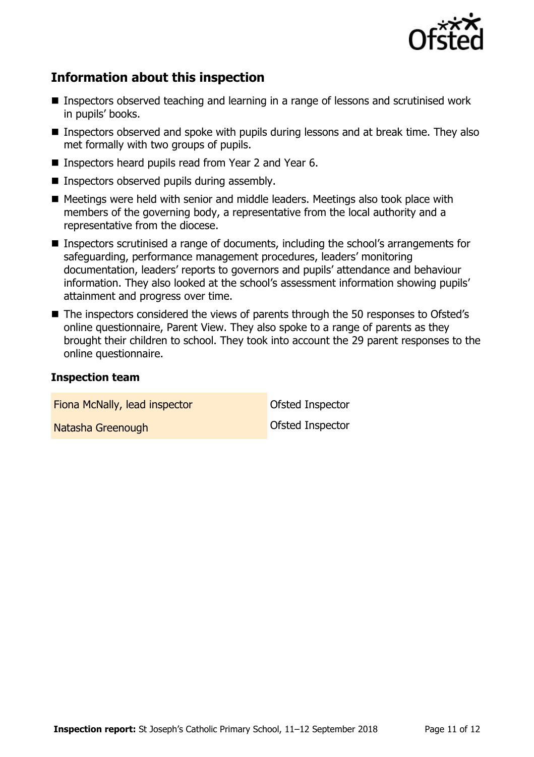

# **Information about this inspection**

- Inspectors observed teaching and learning in a range of lessons and scrutinised work in pupils' books.
- Inspectors observed and spoke with pupils during lessons and at break time. They also met formally with two groups of pupils.
- Inspectors heard pupils read from Year 2 and Year 6.
- $\blacksquare$  Inspectors observed pupils during assembly.
- Meetings were held with senior and middle leaders. Meetings also took place with members of the governing body, a representative from the local authority and a representative from the diocese.
- Inspectors scrutinised a range of documents, including the school's arrangements for safeguarding, performance management procedures, leaders' monitoring documentation, leaders' reports to governors and pupils' attendance and behaviour information. They also looked at the school's assessment information showing pupils' attainment and progress over time.
- The inspectors considered the views of parents through the 50 responses to Ofsted's online questionnaire, Parent View. They also spoke to a range of parents as they brought their children to school. They took into account the 29 parent responses to the online questionnaire.

#### **Inspection team**

| Fiona McNally, lead inspector | <b>Ofsted Inspector</b> |
|-------------------------------|-------------------------|
| Natasha Greenough             | <b>Ofsted Inspector</b> |